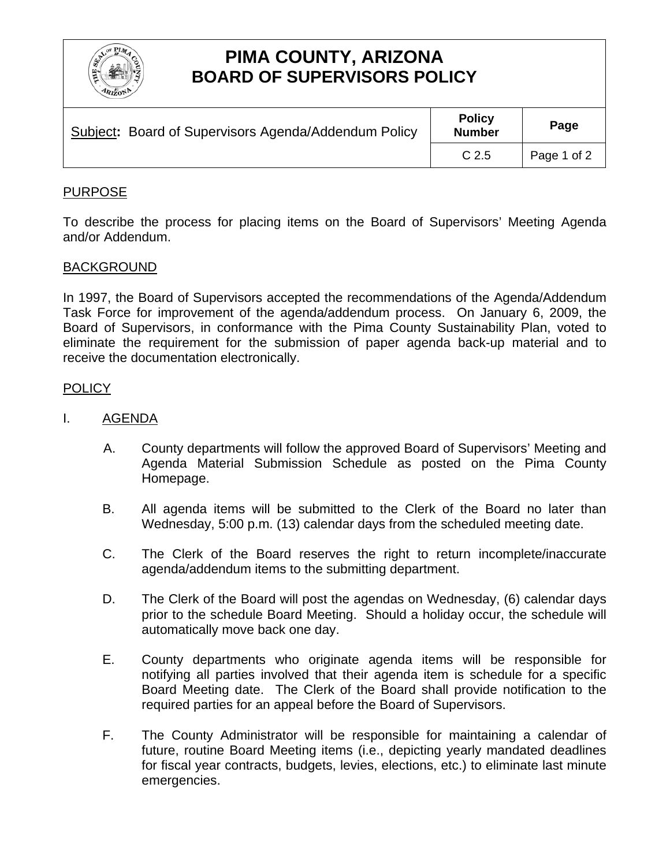

# **PIMA COUNTY, ARIZONA BOARD OF SUPERVISORS POLICY**

| Subject: Board of Supervisors Agenda/Addendum Policy | <b>Policy</b><br><b>Number</b> | Page        |
|------------------------------------------------------|--------------------------------|-------------|
|                                                      | C <sub>2.5</sub>               | Page 1 of 2 |

## PURPOSE

To describe the process for placing items on the Board of Supervisors' Meeting Agenda and/or Addendum.

### BACKGROUND

In 1997, the Board of Supervisors accepted the recommendations of the Agenda/Addendum Task Force for improvement of the agenda/addendum process. On January 6, 2009, the Board of Supervisors, in conformance with the Pima County Sustainability Plan, voted to eliminate the requirement for the submission of paper agenda back-up material and to receive the documentation electronically.

### POLICY

- I. AGENDA
	- A. County departments will follow the approved Board of Supervisors' Meeting and Agenda Material Submission Schedule as posted on the Pima County Homepage.
	- B. All agenda items will be submitted to the Clerk of the Board no later than Wednesday, 5:00 p.m. (13) calendar days from the scheduled meeting date.
	- C. The Clerk of the Board reserves the right to return incomplete/inaccurate agenda/addendum items to the submitting department.
	- D. The Clerk of the Board will post the agendas on Wednesday, (6) calendar days prior to the schedule Board Meeting. Should a holiday occur, the schedule will automatically move back one day.
	- E. County departments who originate agenda items will be responsible for notifying all parties involved that their agenda item is schedule for a specific Board Meeting date. The Clerk of the Board shall provide notification to the required parties for an appeal before the Board of Supervisors.
	- F. The County Administrator will be responsible for maintaining a calendar of future, routine Board Meeting items (i.e., depicting yearly mandated deadlines for fiscal year contracts, budgets, levies, elections, etc.) to eliminate last minute emergencies.